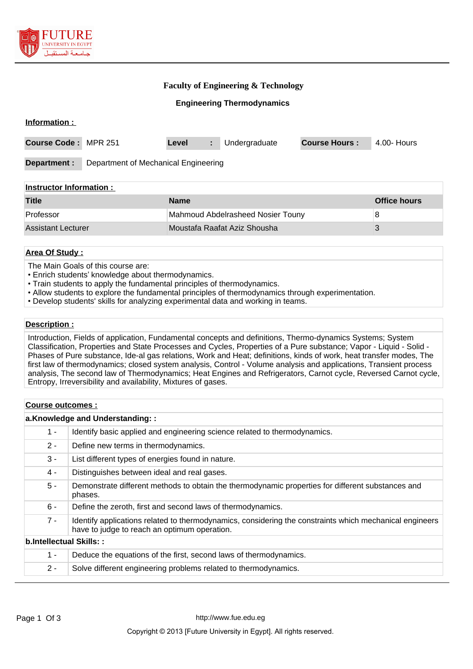

## **Faculty of Engineering & Technology**

## **Engineering Thermodynamics**

| <b>Information:</b> |  |
|---------------------|--|
|                     |  |

| Course Code: MPR 251                                 |  | Level |  | Undergraduate | <b>Course Hours:</b> | 4.00- Hours |
|------------------------------------------------------|--|-------|--|---------------|----------------------|-------------|
| Department of Mechanical Engineering<br>Department : |  |       |  |               |                      |             |
| Inctructor Information                               |  |       |  |               |                      |             |

| $\overline{\phantom{a}}$ |                                   |                     |
|--------------------------|-----------------------------------|---------------------|
| <b>Title</b>             | <b>Name</b>                       | <b>Office hours</b> |
| Professor                | Mahmoud Abdelrasheed Nosier Touny |                     |
| Assistant Lecturer       | Moustafa Raafat Aziz Shousha      |                     |

### **Area Of Study :**

The Main Goals of this course are:

- Enrich students' knowledge about thermodynamics.
- Train students to apply the fundamental principles of thermodynamics.
- Allow students to explore the fundamental principles of thermodynamics through experimentation.
- Develop students' skills for analyzing experimental data and working in teams.

#### **Description :**

Introduction, Fields of application, Fundamental concepts and definitions, Thermo-dynamics Systems; System Classification, Properties and State Processes and Cycles, Properties of a Pure substance; Vapor - Liquid - Solid - Phases of Pure substance, Ide-al gas relations, Work and Heat; definitions, kinds of work, heat transfer modes, The first law of thermodynamics; closed system analysis, Control - Volume analysis and applications, Transient process analysis, The second law of Thermodynamics; Heat Engines and Refrigerators, Carnot cycle, Reversed Carnot cycle, Entropy, Irreversibility and availability, Mixtures of gases.

#### **Course outcomes :**

| a.Knowledge and Understanding:: |                                                                                                                                                         |  |  |  |
|---------------------------------|---------------------------------------------------------------------------------------------------------------------------------------------------------|--|--|--|
| $1 -$                           | Identify basic applied and engineering science related to thermodynamics.                                                                               |  |  |  |
| $2 -$                           | Define new terms in thermodynamics.                                                                                                                     |  |  |  |
| $3 -$                           | List different types of energies found in nature.                                                                                                       |  |  |  |
| 4 -                             | Distinguishes between ideal and real gases.                                                                                                             |  |  |  |
| $5 -$                           | Demonstrate different methods to obtain the thermodynamic properties for different substances and<br>phases.                                            |  |  |  |
| $6 -$                           | Define the zeroth, first and second laws of thermodynamics.                                                                                             |  |  |  |
| $7 -$                           | Identify applications related to thermodynamics, considering the constraints which mechanical engineers<br>have to judge to reach an optimum operation. |  |  |  |
| b.Intellectual Skills::         |                                                                                                                                                         |  |  |  |
| $1 -$                           | Deduce the equations of the first, second laws of thermodynamics.                                                                                       |  |  |  |
| $2 -$                           | Solve different engineering problems related to thermodynamics.                                                                                         |  |  |  |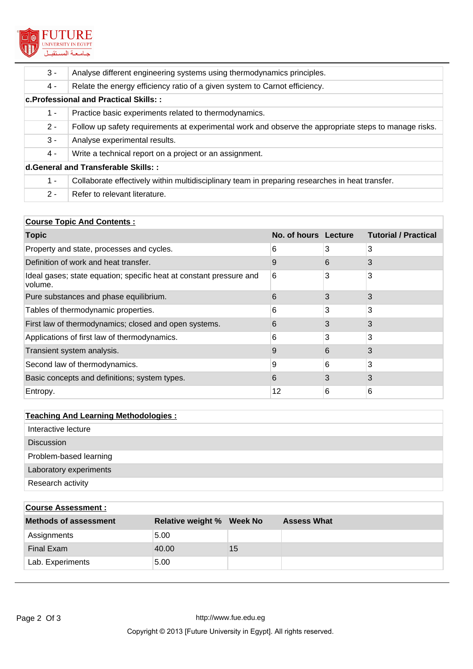

| $3 -$                                        | Analyse different engineering systems using thermodynamics principles.                                |  |  |  |
|----------------------------------------------|-------------------------------------------------------------------------------------------------------|--|--|--|
| 4 -                                          | Relate the energy efficiency ratio of a given system to Carnot efficiency.                            |  |  |  |
| <b>c.Professional and Practical Skills::</b> |                                                                                                       |  |  |  |
| $1 -$                                        | Practice basic experiments related to thermodynamics.                                                 |  |  |  |
| $2 -$                                        | Follow up safety requirements at experimental work and observe the appropriate steps to manage risks. |  |  |  |
| $3 -$                                        | Analyse experimental results.                                                                         |  |  |  |
| 4 -                                          | Write a technical report on a project or an assignment.                                               |  |  |  |
| d.General and Transferable Skills::          |                                                                                                       |  |  |  |
| $1 -$                                        | Collaborate effectively within multidisciplinary team in preparing researches in heat transfer.       |  |  |  |
| $2 -$                                        | Refer to relevant literature.                                                                         |  |  |  |

# **Course Topic And Contents :**

| <b>Topic</b>                                                                   | No. of hours Lecture |   | <b>Tutorial / Practical</b> |
|--------------------------------------------------------------------------------|----------------------|---|-----------------------------|
| Property and state, processes and cycles.                                      | 6                    | 3 | 3                           |
| Definition of work and heat transfer.                                          | 9                    | 6 | 3                           |
| Ideal gases; state equation; specific heat at constant pressure and<br>volume. | 6                    | 3 | 3                           |
| Pure substances and phase equilibrium.                                         | 6                    | 3 | 3                           |
| Tables of thermodynamic properties.                                            | 6                    | 3 | 3                           |
| First law of thermodynamics; closed and open systems.                          | 6                    | 3 | 3                           |
| Applications of first law of thermodynamics.                                   | 6                    | 3 | 3                           |
| Transient system analysis.                                                     | 9                    | 6 | 3                           |
| Second law of thermodynamics.                                                  | 9                    | 6 | 3                           |
| Basic concepts and definitions; system types.                                  | 6                    | 3 | 3                           |
| Entropy.                                                                       | 12                   | 6 | 6                           |

# **Teaching And Learning Methodologies :**

| Interactive lecture    |
|------------------------|
| <b>Discussion</b>      |
| Problem-based learning |
| Laboratory experiments |
| Research activity      |

| Course Assessment :          |                                  |    |                    |  |  |
|------------------------------|----------------------------------|----|--------------------|--|--|
| <b>Methods of assessment</b> | <b>Relative weight % Week No</b> |    | <b>Assess What</b> |  |  |
| Assignments                  | 5.00                             |    |                    |  |  |
| Final Exam                   | 40.00                            | 15 |                    |  |  |
| Lab. Experiments             | 5.00                             |    |                    |  |  |